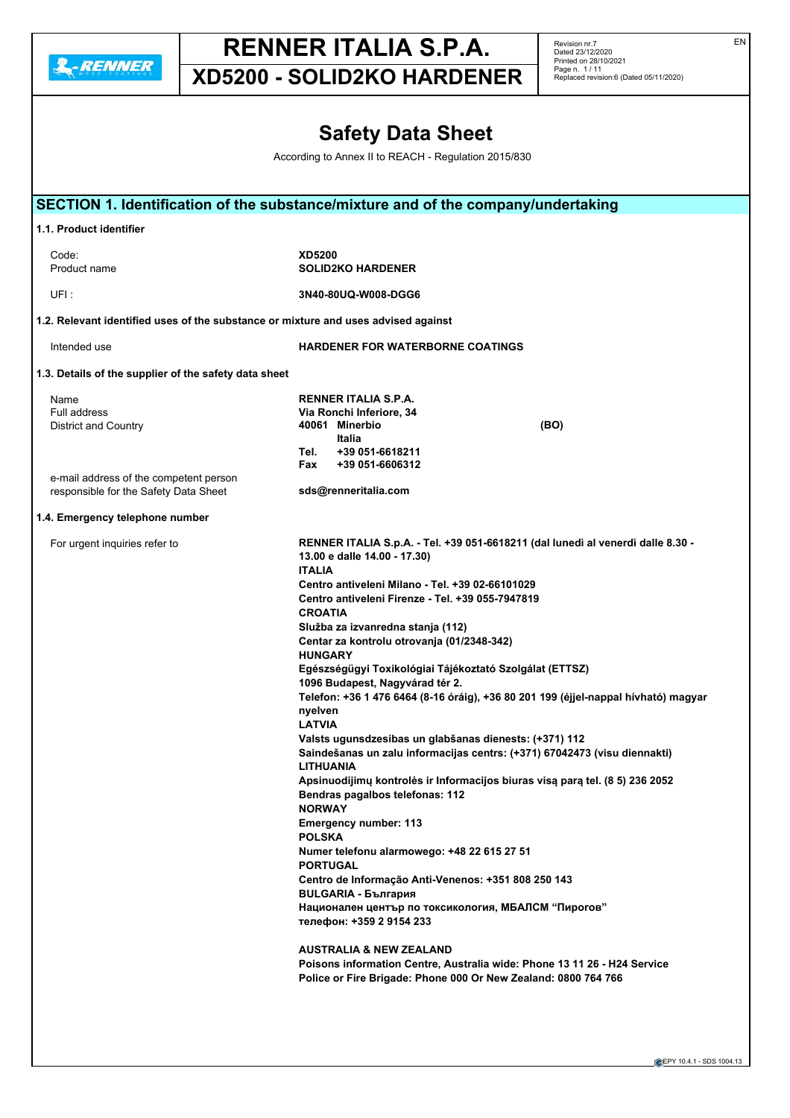

Revision nr.7 Dated 23/12/2020 Printed on 28/10/2021 Page n. 1 / 11 Replaced revision:6 (Dated 05/11/2020)

**XD5200 - SOLID2KO HARDENER**

## **Safety Data Sheet**

According to Annex II to REACH - Regulation 2015/830

|                                                                                    | SECTION 1. Identification of the substance/mixture and of the company/undertaking             |
|------------------------------------------------------------------------------------|-----------------------------------------------------------------------------------------------|
| 1.1. Product identifier                                                            |                                                                                               |
| Code:                                                                              | <b>XD5200</b>                                                                                 |
| Product name                                                                       | <b>SOLID2KO HARDENER</b>                                                                      |
|                                                                                    |                                                                                               |
| UFI :                                                                              | 3N40-80UQ-W008-DGG6                                                                           |
| 1.2. Relevant identified uses of the substance or mixture and uses advised against |                                                                                               |
| Intended use                                                                       | <b>HARDENER FOR WATERBORNE COATINGS</b>                                                       |
| 1.3. Details of the supplier of the safety data sheet                              |                                                                                               |
| Name                                                                               | <b>RENNER ITALIA S.P.A.</b>                                                                   |
| <b>Full address</b>                                                                | Via Ronchi Inferiore, 34                                                                      |
| <b>District and Country</b>                                                        | 40061 Minerbio<br>(BO)                                                                        |
|                                                                                    | Italia                                                                                        |
|                                                                                    | +39 051-6618211<br>Tel.                                                                       |
|                                                                                    | +39 051-6606312<br>Fax                                                                        |
| e-mail address of the competent person                                             |                                                                                               |
| responsible for the Safety Data Sheet                                              | sds@renneritalia.com                                                                          |
|                                                                                    |                                                                                               |
| 1.4. Emergency telephone number                                                    |                                                                                               |
| For urgent inquiries refer to                                                      | RENNER ITALIA S.p.A. - Tel. +39 051-6618211 (dal lunedì al venerdì dalle 8.30 -               |
|                                                                                    | 13.00 e dalle 14.00 - 17.30)                                                                  |
|                                                                                    | <b>ITALIA</b>                                                                                 |
|                                                                                    |                                                                                               |
|                                                                                    | Centro antiveleni Milano - Tel. +39 02-66101029                                               |
|                                                                                    | Centro antiveleni Firenze - Tel. +39 055-7947819                                              |
|                                                                                    | <b>CROATIA</b>                                                                                |
|                                                                                    | Služba za izvanredna stanja (112)                                                             |
|                                                                                    | Centar za kontrolu otrovanja (01/2348-342)                                                    |
|                                                                                    | <b>HUNGARY</b>                                                                                |
|                                                                                    | Egészségügyi Toxikológiai Tájékoztató Szolgálat (ETTSZ)                                       |
|                                                                                    | 1096 Budapest, Nagyvárad tér 2.                                                               |
|                                                                                    |                                                                                               |
|                                                                                    | Telefon: +36 1 476 6464 (8-16 óráig), +36 80 201 199 (éjjel-nappal hívható) magyar            |
|                                                                                    | nyelven                                                                                       |
|                                                                                    | <b>LATVIA</b>                                                                                 |
|                                                                                    | Valsts ugunsdzesibas un glabšanas dienests: (+371) 112                                        |
|                                                                                    | Saindešanas un zalu informacijas centrs: (+371) 67042473 (visu diennakti)<br><b>LITHUANIA</b> |
|                                                                                    | Apsinuodijimų kontrolės ir Informacijos biuras visą parą tel. (8 5) 236 2052                  |
|                                                                                    | Bendras pagalbos telefonas: 112                                                               |
|                                                                                    |                                                                                               |
|                                                                                    | <b>NORWAY</b>                                                                                 |
|                                                                                    | <b>Emergency number: 113</b>                                                                  |
|                                                                                    | <b>POLSKA</b>                                                                                 |
|                                                                                    | Numer telefonu alarmowego: +48 22 615 27 51                                                   |
|                                                                                    | <b>PORTUGAL</b>                                                                               |
|                                                                                    | Centro de Informação Anti-Venenos: +351 808 250 143                                           |
|                                                                                    | <b>BULGARIA - България</b>                                                                    |
|                                                                                    | Национален център по токсикология, МБАЛСМ "Пирогов"                                           |
|                                                                                    | телефон: +359 2 9154 233                                                                      |
|                                                                                    | <b>AUSTRALIA &amp; NEW ZEALAND</b>                                                            |
|                                                                                    | Poisons information Centre, Australia wide: Phone 13 11 26 - H24 Service                      |
|                                                                                    | Police or Fire Brigade: Phone 000 Or New Zealand: 0800 764 766                                |
|                                                                                    |                                                                                               |
|                                                                                    |                                                                                               |
|                                                                                    |                                                                                               |

EN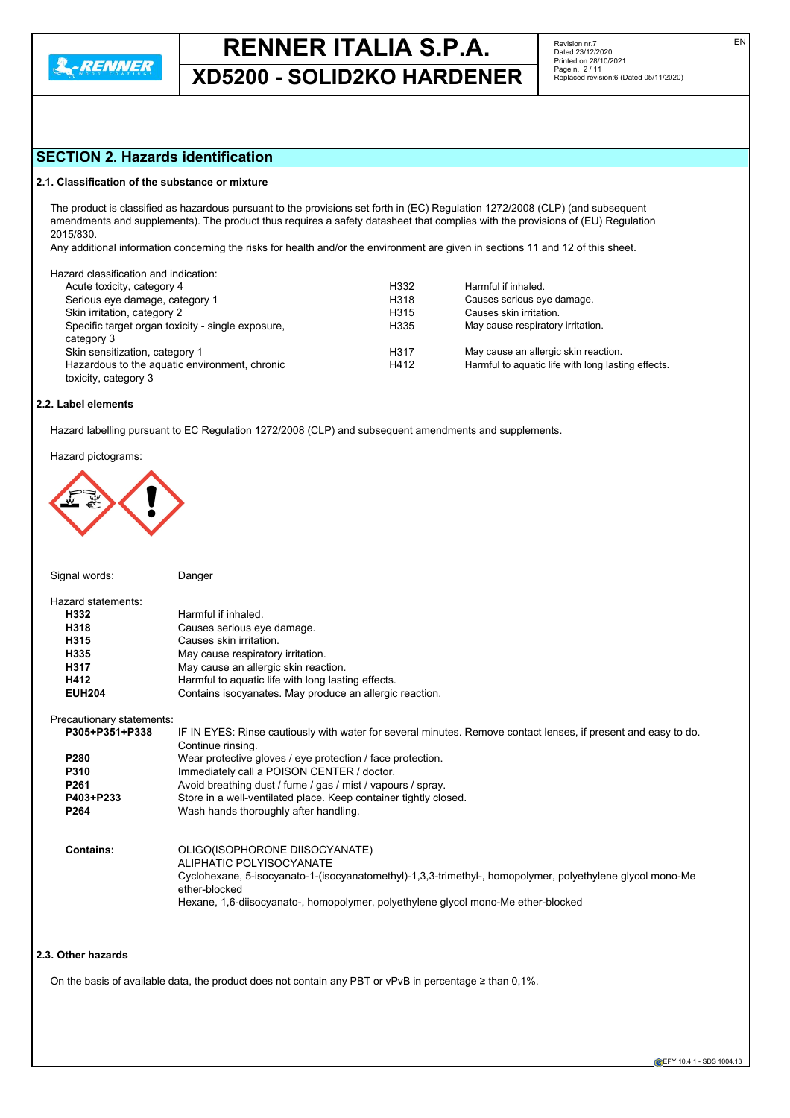

**XD5200 - SOLID2KO HARDENER**

EN

## **SECTION 2. Hazards identification**

#### **2.1. Classification of the substance or mixture**

The product is classified as hazardous pursuant to the provisions set forth in (EC) Regulation 1272/2008 (CLP) (and subsequent amendments and supplements). The product thus requires a safety datasheet that complies with the provisions of (EU) Regulation 2015/830.

Any additional information concerning the risks for health and/or the environment are given in sections 11 and 12 of this sheet.

| H332 | Harmful if inhaled.                                |
|------|----------------------------------------------------|
| H318 | Causes serious eye damage.                         |
| H315 | Causes skin irritation.                            |
| H335 | May cause respiratory irritation.                  |
| H317 | May cause an allergic skin reaction.               |
| H412 | Harmful to aquatic life with long lasting effects. |
|      |                                                    |

#### **2.2. Label elements**

Hazard labelling pursuant to EC Regulation 1272/2008 (CLP) and subsequent amendments and supplements.

Hazard pictograms:



| Signal words:             | Danger                                                                                                         |
|---------------------------|----------------------------------------------------------------------------------------------------------------|
| Hazard statements:        |                                                                                                                |
| H332                      | Harmful if inhaled                                                                                             |
| H318                      | Causes serious eye damage.                                                                                     |
| H315                      | Causes skin irritation.                                                                                        |
| H335                      | May cause respiratory irritation.                                                                              |
| H317                      | May cause an allergic skin reaction.                                                                           |
| H412                      | Harmful to aquatic life with long lasting effects.                                                             |
| <b>EUH204</b>             | Contains isocyanates. May produce an allergic reaction.                                                        |
| Precautionary statements: |                                                                                                                |
| P305+P351+P338            | IF IN EYES: Rinse cautiously with water for several minutes. Remove contact lenses, if present and easy to do. |
|                           | Continue rinsing.                                                                                              |
| P <sub>280</sub>          | Wear protective gloves / eye protection / face protection.                                                     |
| <b>P310</b>               | Immediately call a POISON CENTER / doctor.                                                                     |
| P <sub>261</sub>          | Avoid breathing dust / fume / gas / mist / vapours / spray.                                                    |
| P403+P233                 | Store in a well-ventilated place. Keep container tightly closed.                                               |
| P <sub>264</sub>          | Wash hands thoroughly after handling.                                                                          |
|                           |                                                                                                                |
| Contains:                 | OLIGO(ISOPHORONE DIISOCYANATE)                                                                                 |
|                           | ALIPHATIC POLYISOCYANATE                                                                                       |
|                           | Cyclohexane, 5-isocyanato-1-(isocyanatomethyl)-1,3,3-trimethyl-, homopolymer, polyethylene glycol mono-Me      |
|                           | ether-blocked                                                                                                  |
|                           | Hexane, 1,6-diisocyanato-, homopolymer, polyethylene glycol mono-Me ether-blocked                              |
|                           |                                                                                                                |

### **2.3. Other hazards**

On the basis of available data, the product does not contain any PBT or vPvB in percentage ≥ than 0,1%.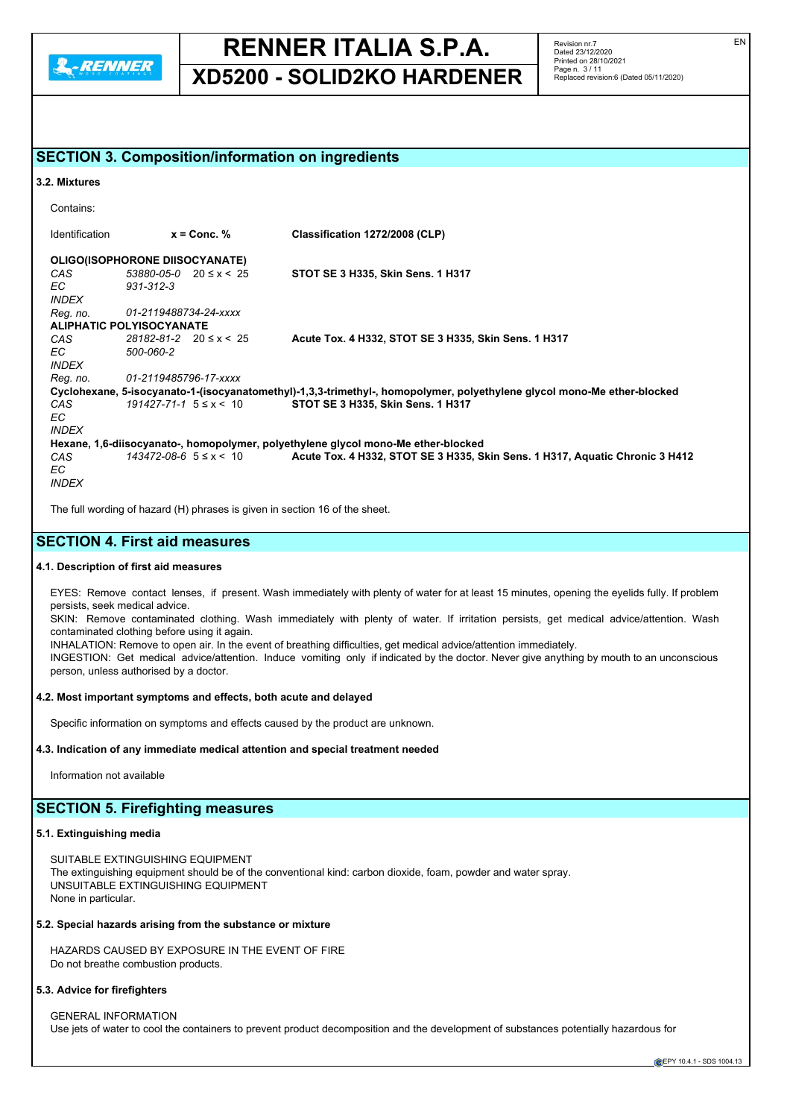

**XD5200 - SOLID2KO HARDENER**

Revision nr.7 Dated 23/12/2020 Printed on 28/10/2021 Page n. 3 / 11 Replaced revision:6 (Dated 05/11/2020)

## **SECTION 3. Composition/information on ingredients**

#### **3.2. Mixtures**

Contains: Identification **x = Conc. % Classification 1272/2008 (CLP) OLIGO(ISOPHORONE DIISOCYANATE)**<br>CAS 53880-05-0 20 ≤ x < 25 *CAS 53880-05-0* 20 ≤ x < 25 **STOT SE 3 H335, Skin Sens. 1 H317** *EC 931-312-3 INDEX Reg. no. 01-2119488734-24-xxxx* **ALIPHATIC POLYISOCYANATE** *CAS 28182-81-2* 20 ≤ x < 25 **Acute Tox. 4 H332, STOT SE 3 H335, Skin Sens. 1 H317** *EC 500-060-2 INDEX Reg. no. 01-2119485796-17-xxxx* **Cyclohexane, 5-isocyanato-1-(isocyanatomethyl)-1,3,3-trimethyl-, homopolymer, polyethylene glycol mono-Me ether-blocked** *CAS 191427-71-1* 5 ≤ x < 10 **STOT SE 3 H335, Skin Sens. 1 H317** *EC INDEX* **Hexane, 1,6-diisocyanato-, homopolymer, polyethylene glycol mono-Me ether-blocked** *CAS 143472-08-6* 5 ≤ x < 10 **Acute Tox. 4 H332, STOT SE 3 H335, Skin Sens. 1 H317, Aquatic Chronic 3 H412** *EC INDEX*

The full wording of hazard (H) phrases is given in section 16 of the sheet.

## **SECTION 4. First aid measures**

### **4.1. Description of first aid measures**

EYES: Remove contact lenses, if present. Wash immediately with plenty of water for at least 15 minutes, opening the eyelids fully. If problem persists, seek medical advice.

SKIN: Remove contaminated clothing. Wash immediately with plenty of water. If irritation persists, get medical advice/attention. Wash contaminated clothing before using it again.

INHALATION: Remove to open air. In the event of breathing difficulties, get medical advice/attention immediately.

INGESTION: Get medical advice/attention. Induce vomiting only if indicated by the doctor. Never give anything by mouth to an unconscious person, unless authorised by a doctor.

#### **4.2. Most important symptoms and effects, both acute and delayed**

Specific information on symptoms and effects caused by the product are unknown.

#### **4.3. Indication of any immediate medical attention and special treatment needed**

Information not available

### **SECTION 5. Firefighting measures**

#### **5.1. Extinguishing media**

SUITABLE EXTINGUISHING EQUIPMENT The extinguishing equipment should be of the conventional kind: carbon dioxide, foam, powder and water spray. UNSUITABLE EXTINGUISHING EQUIPMENT None in particular.

#### **5.2. Special hazards arising from the substance or mixture**

HAZARDS CAUSED BY EXPOSURE IN THE EVENT OF FIRE Do not breathe combustion products.

#### **5.3. Advice for firefighters**

GENERAL INFORMATION Use jets of water to cool the containers to prevent product decomposition and the development of substances potentially hazardous for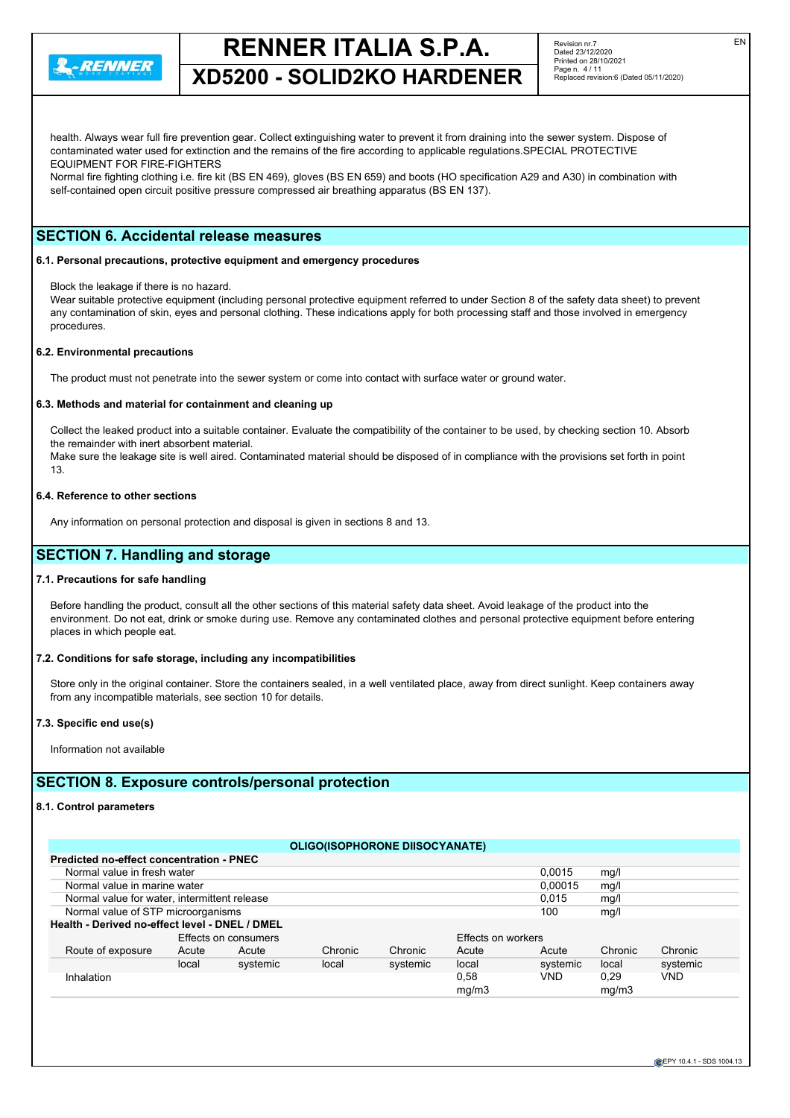

**XD5200 - SOLID2KO HARDENER**

Revision nr.7 Dated 23/12/2020 Printed on 28/10/2021 Page n. 4 / 11 Replaced revision:6 (Dated 05/11/2020)

health. Always wear full fire prevention gear. Collect extinguishing water to prevent it from draining into the sewer system. Dispose of contaminated water used for extinction and the remains of the fire according to applicable regulations.SPECIAL PROTECTIVE EQUIPMENT FOR FIRE-FIGHTERS

Normal fire fighting clothing i.e. fire kit (BS EN 469), gloves (BS EN 659) and boots (HO specification A29 and A30) in combination with self-contained open circuit positive pressure compressed air breathing apparatus (BS EN 137).

## **SECTION 6. Accidental release measures**

#### **6.1. Personal precautions, protective equipment and emergency procedures**

Block the leakage if there is no hazard.

Wear suitable protective equipment (including personal protective equipment referred to under Section 8 of the safety data sheet) to prevent any contamination of skin, eyes and personal clothing. These indications apply for both processing staff and those involved in emergency procedures.

#### **6.2. Environmental precautions**

The product must not penetrate into the sewer system or come into contact with surface water or ground water.

#### **6.3. Methods and material for containment and cleaning up**

Collect the leaked product into a suitable container. Evaluate the compatibility of the container to be used, by checking section 10. Absorb the remainder with inert absorbent material.

Make sure the leakage site is well aired. Contaminated material should be disposed of in compliance with the provisions set forth in point 13.

#### **6.4. Reference to other sections**

Any information on personal protection and disposal is given in sections 8 and 13.

## **SECTION 7. Handling and storage**

#### **7.1. Precautions for safe handling**

Before handling the product, consult all the other sections of this material safety data sheet. Avoid leakage of the product into the environment. Do not eat, drink or smoke during use. Remove any contaminated clothes and personal protective equipment before entering places in which people eat.

#### **7.2. Conditions for safe storage, including any incompatibilities**

Store only in the original container. Store the containers sealed, in a well ventilated place, away from direct sunlight. Keep containers away from any incompatible materials, see section 10 for details.

#### **7.3. Specific end use(s)**

Information not available

### **SECTION 8. Exposure controls/personal protection**

#### **8.1. Control parameters**

|                                                 |       |                      | <b>ULIGUISUPHURUNE DIISUCTANATE</b> |          |                    |            |         |          |
|-------------------------------------------------|-------|----------------------|-------------------------------------|----------|--------------------|------------|---------|----------|
| <b>Predicted no-effect concentration - PNEC</b> |       |                      |                                     |          |                    |            |         |          |
| Normal value in fresh water                     |       |                      |                                     |          |                    | 0.0015     | mg/     |          |
| Normal value in marine water                    |       |                      |                                     |          |                    | 0.00015    | mg/     |          |
| Normal value for water, intermittent release    |       |                      |                                     |          |                    | 0.015      | mg/     |          |
| Normal value of STP microorganisms              |       |                      |                                     |          |                    | 100        | mg/     |          |
| Health - Derived no-effect level - DNEL / DMEL  |       |                      |                                     |          |                    |            |         |          |
|                                                 |       | Effects on consumers |                                     |          | Effects on workers |            |         |          |
| Route of exposure                               | Acute | Acute                | Chronic                             | Chronic  | Acute              | Acute      | Chronic | Chronic  |
|                                                 | local | systemic             | local                               | systemic | local              | systemic   | local   | systemic |
| Inhalation                                      |       |                      |                                     |          | 0.58               | <b>VND</b> | 0.29    | VND      |
|                                                 |       |                      |                                     |          | mg/m3              |            | mg/m3   |          |
|                                                 |       |                      |                                     |          |                    |            |         |          |

**OLIGO(ISOPHORONE DIISOCYANATE)**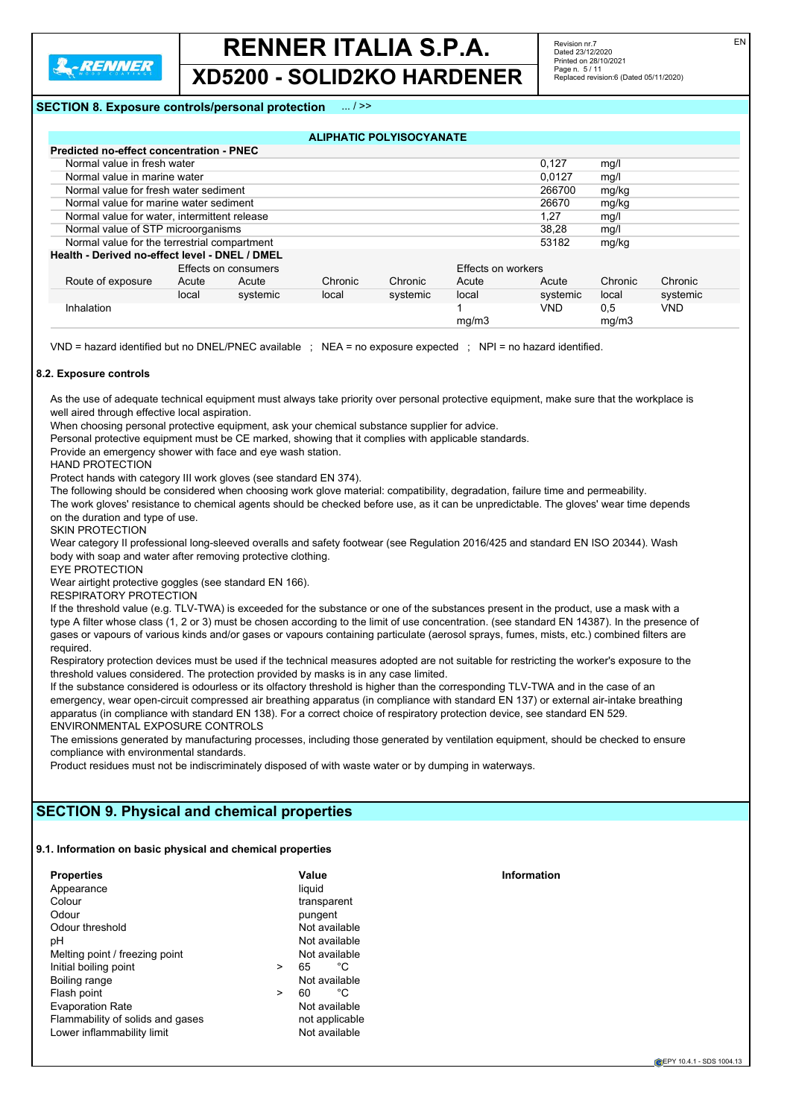

**XD5200 - SOLID2KO HARDENER**

### **SECTION 8. Exposure controls/personal protection** ... / >>

#### **ALIPHATIC POLYISOCYANATE**

| Predicted no-effect concentration - PNEC       |       |                      |         |          |                    |            |              |            |
|------------------------------------------------|-------|----------------------|---------|----------|--------------------|------------|--------------|------------|
| Normal value in fresh water                    |       |                      |         |          |                    | 0.127      | mg/          |            |
| Normal value in marine water                   |       |                      |         |          |                    | 0.0127     | mg/l         |            |
| Normal value for fresh water sediment          |       |                      |         |          |                    | 266700     | mg/kg        |            |
| Normal value for marine water sediment         |       |                      |         |          |                    | 26670      | mg/kg        |            |
| Normal value for water, intermittent release   |       |                      |         |          |                    | 1.27       | mg/l         |            |
| Normal value of STP microorganisms             |       |                      |         |          |                    | 38.28      | mg/l         |            |
| Normal value for the terrestrial compartment   |       |                      |         |          |                    | 53182      | mg/kg        |            |
| Health - Derived no-effect level - DNEL / DMEL |       |                      |         |          |                    |            |              |            |
|                                                |       | Effects on consumers |         |          | Effects on workers |            |              |            |
| Route of exposure                              | Acute | Acute                | Chronic | Chronic  | Acute              | Acute      | Chronic      | Chronic    |
|                                                | local | systemic             | local   | systemic | local              | systemic   | local        | systemic   |
| Inhalation                                     |       |                      |         |          | ma/m3              | <b>VND</b> | 0,5<br>mq/m3 | <b>VND</b> |

VND = hazard identified but no DNEL/PNEC available ; NEA = no exposure expected ; NPI = no hazard identified.

#### **8.2. Exposure controls**

As the use of adequate technical equipment must always take priority over personal protective equipment, make sure that the workplace is well aired through effective local aspiration.

When choosing personal protective equipment, ask your chemical substance supplier for advice.

Personal protective equipment must be CE marked, showing that it complies with applicable standards.

Provide an emergency shower with face and eye wash station.

HAND PROTECTION

Protect hands with category III work gloves (see standard EN 374).

The following should be considered when choosing work glove material: compatibility, degradation, failure time and permeability.

The work gloves' resistance to chemical agents should be checked before use, as it can be unpredictable. The gloves' wear time depends on the duration and type of use.

SKIN PROTECTION

Wear category II professional long-sleeved overalls and safety footwear (see Regulation 2016/425 and standard EN ISO 20344). Wash body with soap and water after removing protective clothing.

EYE PROTECTION

Wear airtight protective goggles (see standard EN 166).

RESPIRATORY PROTECTION

If the threshold value (e.g. TLV-TWA) is exceeded for the substance or one of the substances present in the product, use a mask with a type A filter whose class (1, 2 or 3) must be chosen according to the limit of use concentration. (see standard EN 14387). In the presence of gases or vapours of various kinds and/or gases or vapours containing particulate (aerosol sprays, fumes, mists, etc.) combined filters are required.

Respiratory protection devices must be used if the technical measures adopted are not suitable for restricting the worker's exposure to the threshold values considered. The protection provided by masks is in any case limited.

If the substance considered is odourless or its olfactory threshold is higher than the corresponding TLV-TWA and in the case of an emergency, wear open-circuit compressed air breathing apparatus (in compliance with standard EN 137) or external air-intake breathing apparatus (in compliance with standard EN 138). For a correct choice of respiratory protection device, see standard EN 529. ENVIRONMENTAL EXPOSURE CONTROLS

The emissions generated by manufacturing processes, including those generated by ventilation equipment, should be checked to ensure compliance with environmental standards.

Product residues must not be indiscriminately disposed of with waste water or by dumping in waterways.

## **SECTION 9. Physical and chemical properties**

**9.1. Information on basic physical and chemical properties**

| <b>Properties</b>                |        | Value   |                | <b>Information</b> |
|----------------------------------|--------|---------|----------------|--------------------|
| Appearance                       |        | liquid  |                |                    |
| Colour                           |        |         | transparent    |                    |
| Odour                            |        | pungent |                |                    |
| Odour threshold                  |        |         | Not available  |                    |
| pН                               |        |         | Not available  |                    |
| Melting point / freezing point   |        |         | Not available  |                    |
| Initial boiling point            | $\geq$ | 65      | °C             |                    |
| Boiling range                    |        |         | Not available  |                    |
| Flash point                      | $\geq$ | 60      | °C             |                    |
| <b>Evaporation Rate</b>          |        |         | Not available  |                    |
| Flammability of solids and gases |        |         | not applicable |                    |
| Lower inflammability limit       |        |         | Not available  |                    |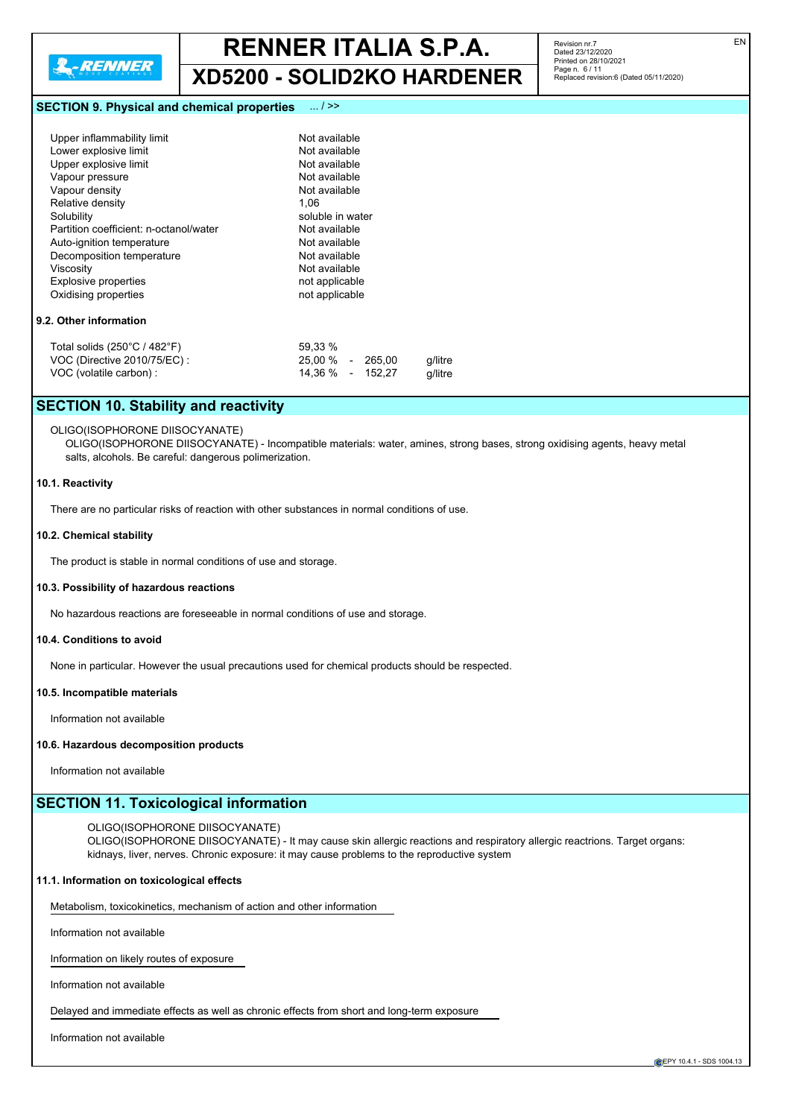

**XD5200 - SOLID2KO HARDENER**

**SECTION 9. Physical and chemical properties** ... / >>

| Upper inflammability limit                   | Not available               |         |
|----------------------------------------------|-----------------------------|---------|
| Lower explosive limit                        | Not available               |         |
| Upper explosive limit                        | Not available               |         |
| Vapour pressure                              | Not available               |         |
| Vapour density                               | Not available               |         |
| Relative density                             | 1.06                        |         |
| Solubility                                   | soluble in water            |         |
| Partition coefficient: n-octanol/water       | Not available               |         |
| Auto-ignition temperature                    | Not available               |         |
| Decomposition temperature                    | Not available               |         |
| Viscosity                                    | Not available               |         |
| Explosive properties                         | not applicable              |         |
| Oxidising properties                         | not applicable              |         |
| 9.2. Other information                       |                             |         |
| Total solids $(250^{\circ}C / 482^{\circ}F)$ | 59,33 %                     |         |
| VOC (Directive 2010/75/EC):                  | 25.00 %<br>265.00<br>$\sim$ | q/litre |
|                                              |                             |         |

VOC (volatile carbon) : 14,36 % - 152,27 g/litre

## **SECTION 10. Stability and reactivity**

## OLIGO(ISOPHORONE DIISOCYANATE)

OLIGO(ISOPHORONE DIISOCYANATE) - Incompatible materials: water, amines, strong bases, strong oxidising agents, heavy metal salts, alcohols. Be careful: dangerous polimerization.

#### **10.1. Reactivity**

There are no particular risks of reaction with other substances in normal conditions of use.

#### **10.2. Chemical stability**

The product is stable in normal conditions of use and storage.

#### **10.3. Possibility of hazardous reactions**

No hazardous reactions are foreseeable in normal conditions of use and storage.

#### **10.4. Conditions to avoid**

None in particular. However the usual precautions used for chemical products should be respected.

#### **10.5. Incompatible materials**

Information not available

#### **10.6. Hazardous decomposition products**

Information not available

### **SECTION 11. Toxicological information**

### OLIGO(ISOPHORONE DIISOCYANATE)

OLIGO(ISOPHORONE DIISOCYANATE) - It may cause skin allergic reactions and respiratory allergic reactrions. Target organs: kidnays, liver, nerves. Chronic exposure: it may cause problems to the reproductive system

#### **11.1. Information on toxicological effects**

Metabolism, toxicokinetics, mechanism of action and other information

Information not available

Information on likely routes of exposure

Information not available

Delayed and immediate effects as well as chronic effects from short and long-term exposure

Information not available

Revision nr.7 Dated 23/12/2020 Printed on 28/10/2021 Page n. 6 / 11

Replaced revision:6 (Dated 05/11/2020)

**EPY 10.4.1 - SDS 1004.13**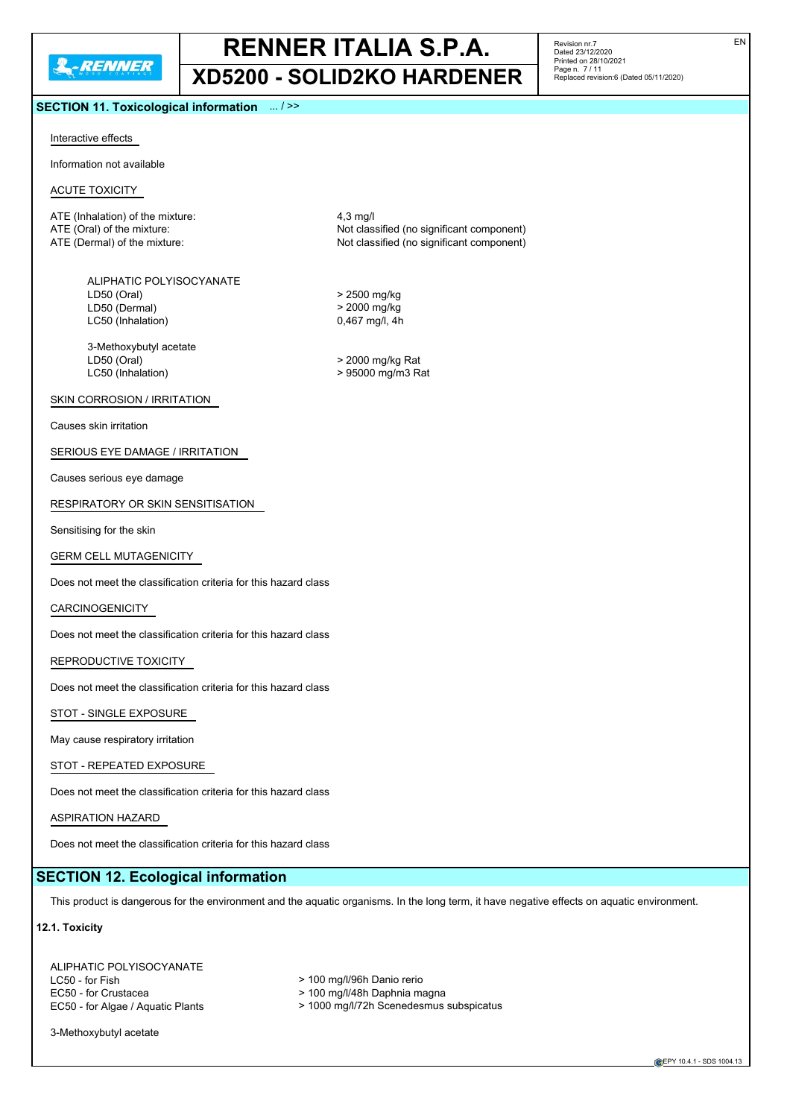## **RENNER ITALIA S.P.A. XD5200 - SOLID2KO HARDENER**

**SECTION 11. Toxicological information** ... / >>

Revision nr.7 Dated 23/12/2020 Printed on 28/10/2021 Page n. 7 / 11 Replaced revision:6 (Dated 05/11/2020) EN

#### Interactive effects

Information not available

#### ACUTE TOXICITY

ATE (Inhalation) of the mixture: 4,3 mg/l ATE (Oral) of the mixture:  $\overline{AB}$  ATE (Oral) of the mixture:  $\overline{AB}$  ATE (Dermal) of the mixture:  $\overline{AB}$  ATE (Dermal) of the mixture:

ALIPHATIC POLYISOCYANATE LD50 (Oral) > 2500 mg/kg LD50 (Dermal) > 2000 mg/kg LC50 (Inhalation) 0,467 mg/l, 4h

3-Methoxybutyl acetate LD50 (Oral) > 2000 mg/kg Rat

#### SKIN CORROSION / IRRITATION

Causes skin irritation

#### SERIOUS EYE DAMAGE / IRRITATION

Causes serious eye damage

#### RESPIRATORY OR SKIN SENSITISATION

Sensitising for the skin

#### GERM CELL MUTAGENICITY

Does not meet the classification criteria for this hazard class

#### **CARCINOGENICITY**

Does not meet the classification criteria for this hazard class

#### REPRODUCTIVE TOXICITY

Does not meet the classification criteria for this hazard class

STOT - SINGLE EXPOSURE

May cause respiratory irritation

#### STOT - REPEATED EXPOSURE

Does not meet the classification criteria for this hazard class

#### ASPIRATION HAZARD

Does not meet the classification criteria for this hazard class

#### **SECTION 12. Ecological information**

This product is dangerous for the environment and the aquatic organisms. In the long term, it have negative effects on aquatic environment.

#### **12.1. Toxicity**

ALIPHATIC POLYISOCYANATE<br>LC50 - for Fish EC50 - for Crustacea <br>  $\geq 100$  mg/l/48h Daphnia magna

- > 100 mg/l/96h Danio rerio
- 
- EC50 for Algae / Aquatic Plants > 1000 mg/l/72h Scenedesmus subspicatus

3-Methoxybutyl acetate

**EPY 10.4.1 - SDS 1004.13** 

Not classified (no significant component)

> 95000 mg/m3 Rat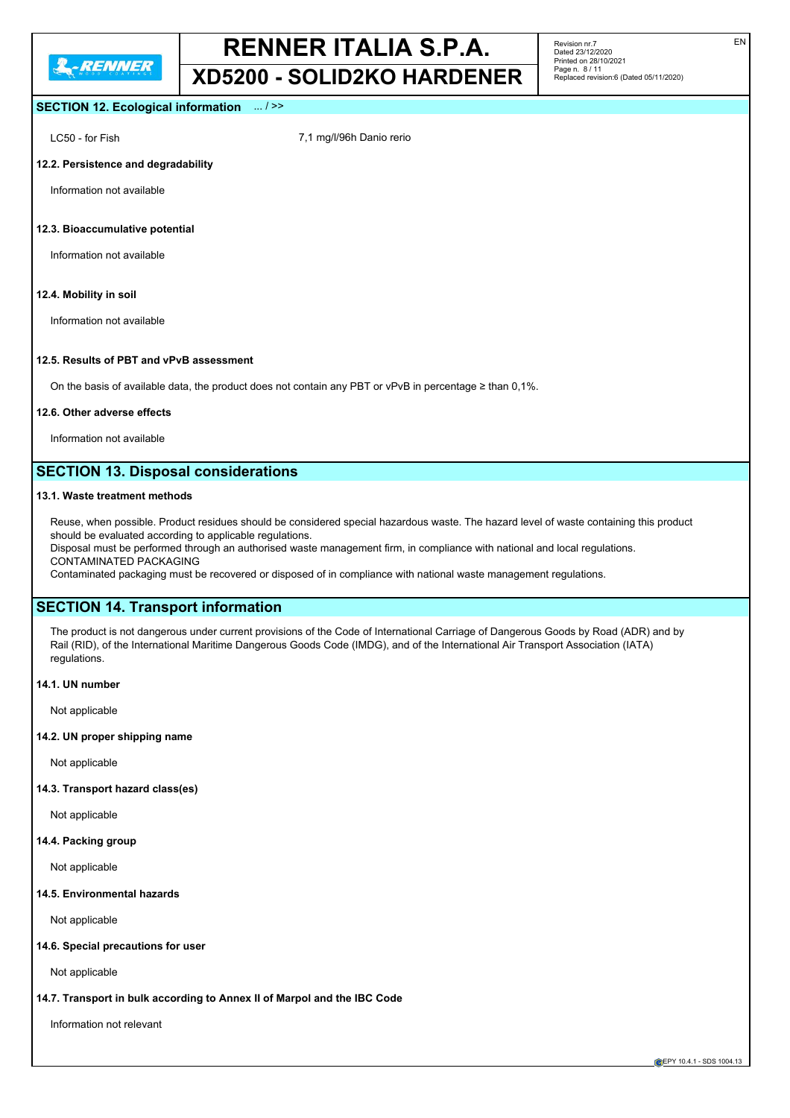**XD5200 - SOLID2KO HARDENER**

Revision nr.7 Dated 23/12/2020 Printed on 28/10/2021 Page n. 8 / 11 Replaced revision:6 (Dated 05/11/2020)

### **SECTION 12. Ecological information** ... / >>

LC50 - for Fish 7,1 mg/l/96h Danio rerio

#### **12.2. Persistence and degradability**

Information not available

#### **12.3. Bioaccumulative potential**

Information not available

#### **12.4. Mobility in soil**

Information not available

#### **12.5. Results of PBT and vPvB assessment**

On the basis of available data, the product does not contain any PBT or vPvB in percentage ≥ than 0,1%.

#### **12.6. Other adverse effects**

Information not available

## **SECTION 13. Disposal considerations**

#### **13.1. Waste treatment methods**

Reuse, when possible. Product residues should be considered special hazardous waste. The hazard level of waste containing this product should be evaluated according to applicable regulations.

Disposal must be performed through an authorised waste management firm, in compliance with national and local regulations. CONTAMINATED PACKAGING

Contaminated packaging must be recovered or disposed of in compliance with national waste management regulations.

### **SECTION 14. Transport information**

The product is not dangerous under current provisions of the Code of International Carriage of Dangerous Goods by Road (ADR) and by Rail (RID), of the International Maritime Dangerous Goods Code (IMDG), and of the International Air Transport Association (IATA) regulations.

#### **14.1. UN number**

Not applicable

#### **14.2. UN proper shipping name**

Not applicable

#### **14.3. Transport hazard class(es)**

Not applicable

#### **14.4. Packing group**

Not applicable

#### **14.5. Environmental hazards**

Not applicable

#### **14.6. Special precautions for user**

Not applicable

#### **14.7. Transport in bulk according to Annex II of Marpol and the IBC Code**

Information not relevant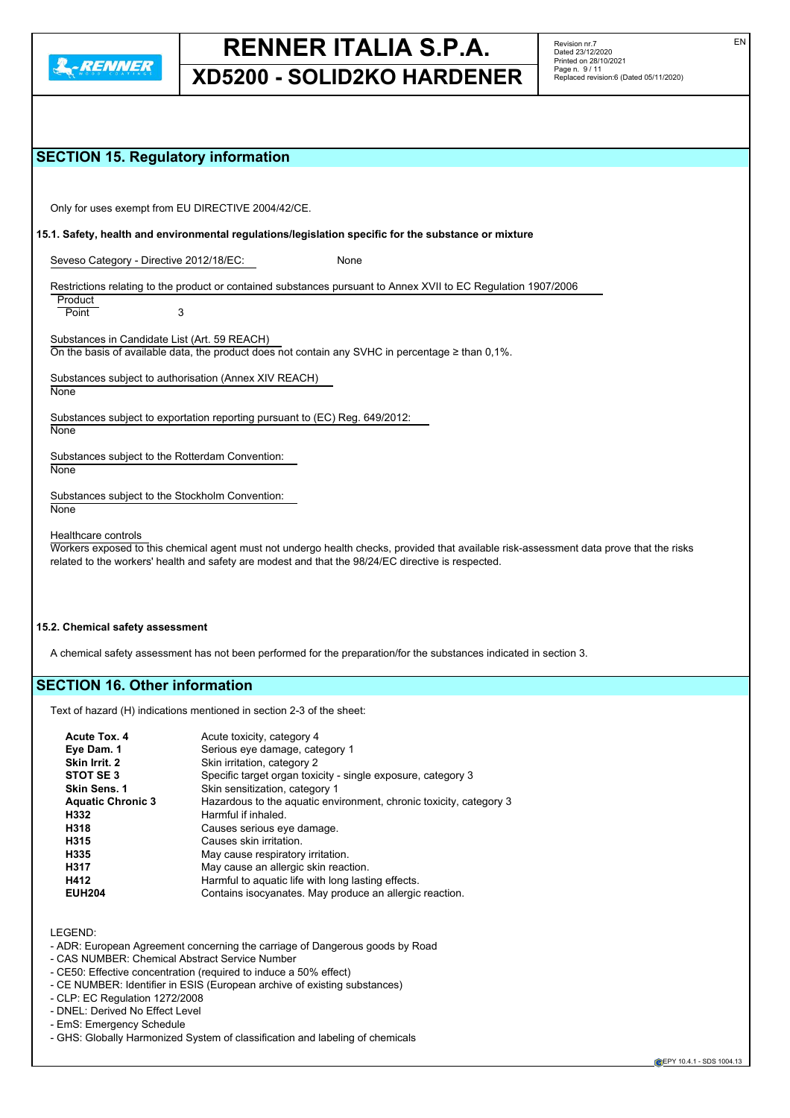

## **XD5200 - SOLID2KO HARDENER**

EN

## **SECTION 15. Regulatory information**

Only for uses exempt from EU DIRECTIVE 2004/42/CE.

**15.1. Safety, health and environmental regulations/legislation specific for the substance or mixture**

Seveso Category - Directive 2012/18/EC: None

Restrictions relating to the product or contained substances pursuant to Annex XVII to EC Regulation 1907/2006

**Product** Point 3

Substances in Candidate List (Art. 59 REACH) On the basis of available data, the product does not contain any SVHC in percentage ≥ than 0,1%.

Substances subject to authorisation (Annex XIV REACH)

**None** 

Substances subject to exportation reporting pursuant to (EC) Reg. 649/2012:

**None** 

**None** 

Substances subject to the Rotterdam Convention: **None** 

Substances subject to the Stockholm Convention:

Healthcare controls

Workers exposed to this chemical agent must not undergo health checks, provided that available risk-assessment data prove that the risks related to the workers' health and safety are modest and that the 98/24/EC directive is respected.

#### **15.2. Chemical safety assessment**

A chemical safety assessment has not been performed for the preparation/for the substances indicated in section 3.

## **SECTION 16. Other information**

Text of hazard (H) indications mentioned in section 2-3 of the sheet:

| Acute Tox. 4             | Acute toxicity, category 4                                         |
|--------------------------|--------------------------------------------------------------------|
| Eye Dam. 1               | Serious eye damage, category 1                                     |
| Skin Irrit. 2            | Skin irritation, category 2                                        |
| STOT SE3                 | Specific target organ toxicity - single exposure, category 3       |
| Skin Sens. 1             | Skin sensitization, category 1                                     |
| <b>Aquatic Chronic 3</b> | Hazardous to the aquatic environment, chronic toxicity, category 3 |
| H332                     | Harmful if inhaled.                                                |
| H318                     | Causes serious eye damage.                                         |
| H315                     | Causes skin irritation.                                            |
| H335                     | May cause respiratory irritation.                                  |
| H317                     | May cause an allergic skin reaction.                               |
| H412                     | Harmful to aquatic life with long lasting effects.                 |
| <b>EUH204</b>            | Contains isocyanates. May produce an allergic reaction.            |

LEGEND:

- ADR: European Agreement concerning the carriage of Dangerous goods by Road
- CAS NUMBER: Chemical Abstract Service Number
- CE50: Effective concentration (required to induce a 50% effect)
- CE NUMBER: Identifier in ESIS (European archive of existing substances)
- CLP: EC Regulation 1272/2008
- DNEL: Derived No Effect Level
- EmS: Emergency Schedule
- GHS: Globally Harmonized System of classification and labeling of chemicals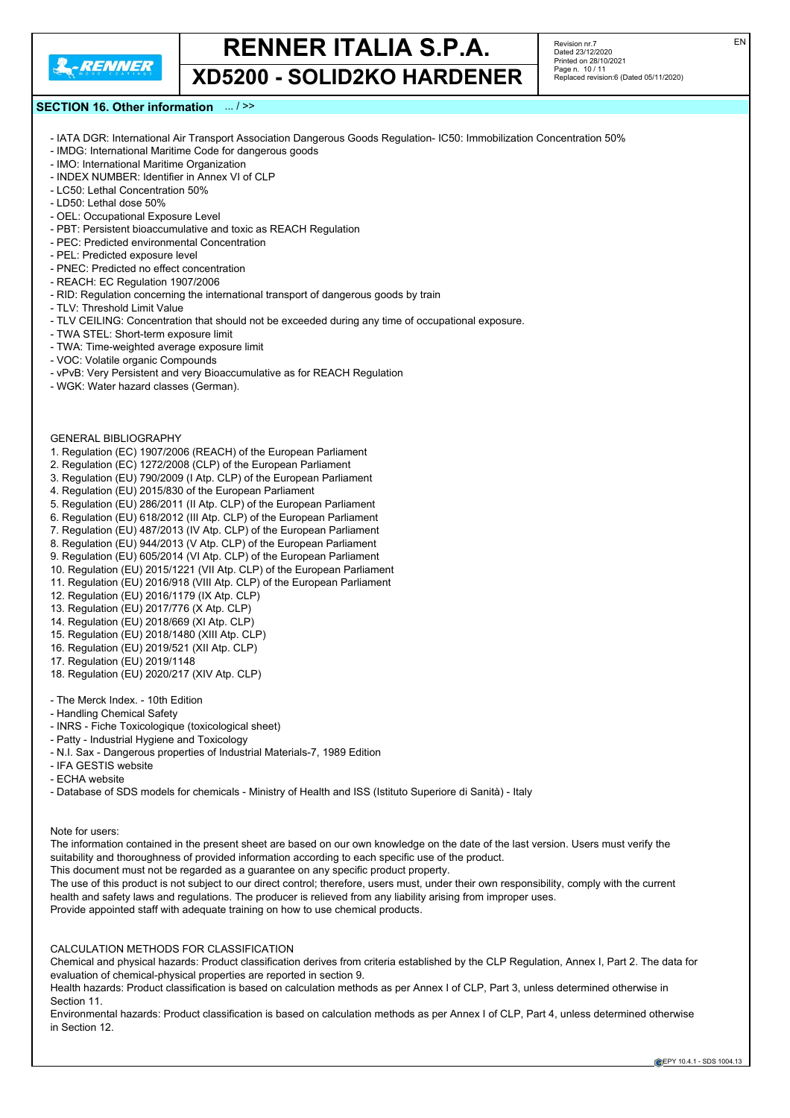

**XD5200 - SOLID2KO HARDENER**

Revision nr.7 Dated 23/12/2020 Printed on 28/10/2021 Page n. 10 / 11 Replaced revision:6 (Dated 05/11/2020)

#### **SECTION 16. Other information** ... / >>

- IATA DGR: International Air Transport Association Dangerous Goods Regulation- IC50: Immobilization Concentration 50%
- IMDG: International Maritime Code for dangerous goods
- IMO: International Maritime Organization
- INDEX NUMBER: Identifier in Annex VI of CLP - LC50: Lethal Concentration 50%
- LD50: Lethal dose 50%
- OEL: Occupational Exposure Level
- PBT: Persistent bioaccumulative and toxic as REACH Regulation
- PEC: Predicted environmental Concentration
- PEL: Predicted exposure level
- PNEC: Predicted no effect concentration
- REACH: EC Regulation 1907/2006
- RID: Regulation concerning the international transport of dangerous goods by train
- TLV: Threshold Limit Value
- TLV CEILING: Concentration that should not be exceeded during any time of occupational exposure.
- TWA STEL: Short-term exposure limit
- TWA: Time-weighted average exposure limit
- VOC: Volatile organic Compounds
- vPvB: Very Persistent and very Bioaccumulative as for REACH Regulation
- WGK: Water hazard classes (German).

#### GENERAL BIBLIOGRAPHY

- 1. Regulation (EC) 1907/2006 (REACH) of the European Parliament
- 2. Regulation (EC) 1272/2008 (CLP) of the European Parliament
- 3. Regulation (EU) 790/2009 (I Atp. CLP) of the European Parliament
- 4. Regulation (EU) 2015/830 of the European Parliament
- 5. Regulation (EU) 286/2011 (II Atp. CLP) of the European Parliament
- 6. Regulation (EU) 618/2012 (III Atp. CLP) of the European Parliament
- 7. Regulation (EU) 487/2013 (IV Atp. CLP) of the European Parliament
- 8. Regulation (EU) 944/2013 (V Atp. CLP) of the European Parliament
- 9. Regulation (EU) 605/2014 (VI Atp. CLP) of the European Parliament
- 10. Regulation (EU) 2015/1221 (VII Atp. CLP) of the European Parliament
- 11. Regulation (EU) 2016/918 (VIII Atp. CLP) of the European Parliament 12. Regulation (EU) 2016/1179 (IX Atp. CLP)
- 13. Regulation (EU) 2017/776 (X Atp. CLP)
- 14. Regulation (EU) 2018/669 (XI Atp. CLP)
- 15. Regulation (EU) 2018/1480 (XIII Atp. CLP)
- 16. Regulation (EU) 2019/521 (XII Atp. CLP)
- 17. Regulation (EU) 2019/1148
- 18. Regulation (EU) 2020/217 (XIV Atp. CLP)
- The Merck Index. 10th Edition
- Handling Chemical Safety
- INRS Fiche Toxicologique (toxicological sheet)
- Patty Industrial Hygiene and Toxicology
- N.I. Sax Dangerous properties of Industrial Materials-7, 1989 Edition
- IFA GESTIS website
- ECHA website
- Database of SDS models for chemicals Ministry of Health and ISS (Istituto Superiore di Sanità) Italy

Note for users:

The information contained in the present sheet are based on our own knowledge on the date of the last version. Users must verify the suitability and thoroughness of provided information according to each specific use of the product.

This document must not be regarded as a guarantee on any specific product property.

The use of this product is not subject to our direct control; therefore, users must, under their own responsibility, comply with the current health and safety laws and regulations. The producer is relieved from any liability arising from improper uses.

Provide appointed staff with adequate training on how to use chemical products.

#### CALCULATION METHODS FOR CLASSIFICATION

Chemical and physical hazards: Product classification derives from criteria established by the CLP Regulation, Annex I, Part 2. The data for evaluation of chemical-physical properties are reported in section 9.

Health hazards: Product classification is based on calculation methods as per Annex I of CLP, Part 3, unless determined otherwise in Section 11.

Environmental hazards: Product classification is based on calculation methods as per Annex I of CLP, Part 4, unless determined otherwise in Section 12.